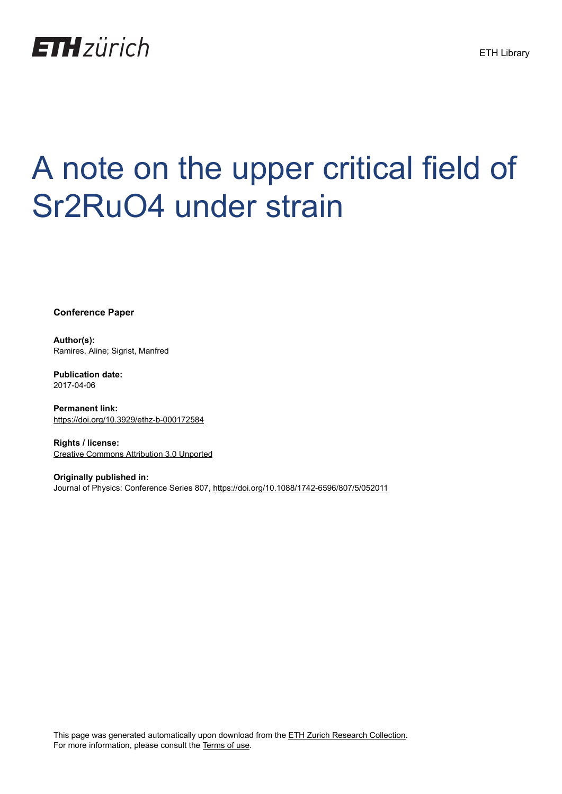

# A note on the upper critical field of Sr2RuO4 under strain

**Conference Paper**

**Author(s):** Ramires, Aline; Sigrist, Manfred

**Publication date:** 2017-04-06

**Permanent link:** <https://doi.org/10.3929/ethz-b-000172584>

**Rights / license:** [Creative Commons Attribution 3.0 Unported](http://creativecommons.org/licenses/by/3.0/)

**Originally published in:** Journal of Physics: Conference Series 807, <https://doi.org/10.1088/1742-6596/807/5/052011>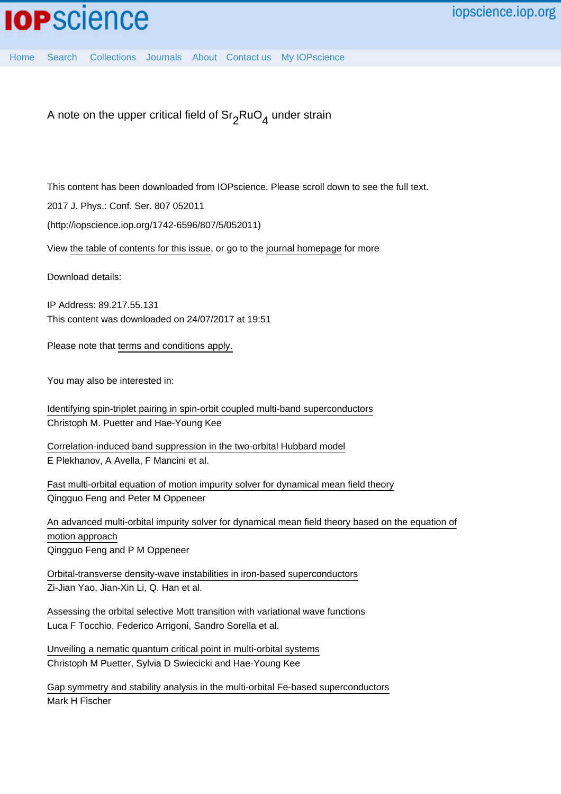## **IOP**science

[Home](http://iopscience.iop.org/) [Search](http://iopscience.iop.org/search) [Collections](http://iopscience.iop.org/collections) [Journals](http://iopscience.iop.org/journals) [About](http://iopscience.iop.org/page/aboutioppublishing) [Contact us](http://iopscience.iop.org/contact) [My IOPscience](http://iopscience.iop.org/myiopscience)

A note on the upper critical field of  $\mathrm{Sr}_2\mathrm{RuO}_4$  under strain

This content has been downloaded from IOPscience. Please scroll down to see the full text.

2017 J. Phys.: Conf. Ser. 807 052011

(http://iopscience.iop.org/1742-6596/807/5/052011)

View [the table of contents for this issue](http://iopscience.iop.org/1742-6596/807/5), or go to the [journal homepage](http://iopscience.iop.org/1742-6596) for more

Download details:

IP Address: 89.217.55.131 This content was downloaded on 24/07/2017 at 19:51

Please note that [terms and conditions apply.](http://iopscience.iop.org/page/terms)

You may also be interested in:

[Identifying spin-triplet pairing in spin-orbit coupled multi-band superconductors](http://iopscience.iop.org/article/10.1209/0295-5075/98/27010) Christoph M. Puetter and Hae-Young Kee

[Correlation-induced band suppression in the two-orbital Hubbard model](http://iopscience.iop.org/article/10.1088/1742-6596/273/1/012147) E Plekhanov, A Avella, F Mancini et al.

[Fast multi-orbital equation of motion impurity solver for dynamical mean field theory](http://iopscience.iop.org/article/10.1088/0953-8984/23/42/425601) Qingguo Feng and Peter M Oppeneer

[An advanced multi-orbital impurity solver for dynamical mean field theory based on the equation of](http://iopscience.iop.org/article/10.1088/0953-8984/24/5/055603) [motion approach](http://iopscience.iop.org/article/10.1088/0953-8984/24/5/055603) Qingguo Feng and P M Oppeneer

[Orbital-transverse density-wave instabilities in iron-based superconductors](http://iopscience.iop.org/article/10.1209/0295-5075/93/37009) Zi-Jian Yao, Jian-Xin Li, Q. Han et al.

[Assessing the orbital selective Mott transition with variational wave functions](http://iopscience.iop.org/article/10.1088/0953-8984/28/10/105602) Luca F Tocchio, Federico Arrigoni, Sandro Sorella et al.

[Unveiling a nematic quantum critical point in multi-orbital systems](http://iopscience.iop.org/article/10.1088/1367-2630/14/5/053027) Christoph M Puetter, Sylvia D Swiecicki and Hae-Young Kee

[Gap symmetry and stability analysis in the multi-orbital Fe-based superconductors](http://iopscience.iop.org/article/10.1088/1367-2630/15/7/073006) Mark H Fischer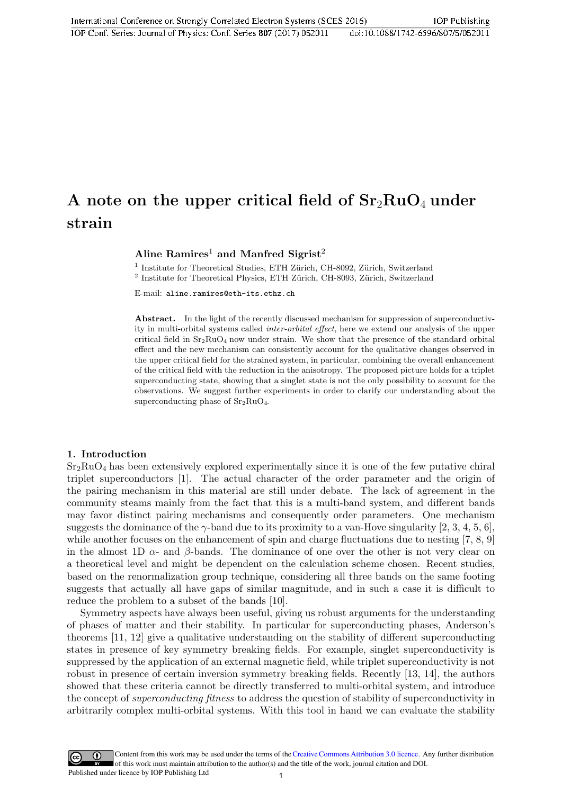### A note on the upper critical field of  $Sr<sub>2</sub>RuO<sub>4</sub>$  under strain

Aline  $Ramires<sup>1</sup>$  and Manfred Sigrist<sup>2</sup>

<sup>1</sup> Institute for Theoretical Studies, ETH Zürich, CH-8092, Zürich, Switzerland <sup>2</sup> Institute for Theoretical Physics, ETH Zürich, CH-8093, Zürich, Switzerland

E-mail: aline.ramires@eth-its.ethz.ch

Abstract. In the light of the recently discussed mechanism for suppression of superconductivity in multi-orbital systems called inter-orbital effect, here we extend our analysis of the upper critical field in  $Sr_2RuO_4$  now under strain. We show that the presence of the standard orbital effect and the new mechanism can consistently account for the qualitative changes observed in the upper critical field for the strained system, in particular, combining the overall enhancement of the critical field with the reduction in the anisotropy. The proposed picture holds for a triplet superconducting state, showing that a singlet state is not the only possibility to account for the observations. We suggest further experiments in order to clarify our understanding about the superconducting phase of  $Sr<sub>2</sub>RuO<sub>4</sub>$ .

#### 1. Introduction

 $Sr<sub>2</sub>RuO<sub>4</sub>$  has been extensively explored experimentally since it is one of the few putative chiral triplet superconductors [1]. The actual character of the order parameter and the origin of the pairing mechanism in this material are still under debate. The lack of agreement in the community steams mainly from the fact that this is a multi-band system, and different bands may favor distinct pairing mechanisms and consequently order parameters. One mechanism suggests the dominance of the  $\gamma$ -band due to its proximity to a van-Hove singularity [2, 3, 4, 5, 6], while another focuses on the enhancement of spin and charge fluctuations due to nesting [7, 8, 9] in the almost 1D  $\alpha$ - and  $\beta$ -bands. The dominance of one over the other is not very clear on a theoretical level and might be dependent on the calculation scheme chosen. Recent studies, based on the renormalization group technique, considering all three bands on the same footing suggests that actually all have gaps of similar magnitude, and in such a case it is difficult to reduce the problem to a subset of the bands [10].

Symmetry aspects have always been useful, giving us robust arguments for the understanding of phases of matter and their stability. In particular for superconducting phases, Anderson's theorems [11, 12] give a qualitative understanding on the stability of different superconducting states in presence of key symmetry breaking fields. For example, singlet superconductivity is suppressed by the application of an external magnetic field, while triplet superconductivity is not robust in presence of certain inversion symmetry breaking fields. Recently [13, 14], the authors showed that these criteria cannot be directly transferred to multi-orbital system, and introduce the concept of *superconducting fitness* to address the question of stability of superconductivity in arbitrarily complex multi-orbital systems. With this tool in hand we can evaluate the stability

Content from this work may be used under the terms of the Creative Commons Attribution 3.0 licence. Any further distribution of this work must maintain attribution to the author(s) and the title of the work, journal citation and DOI. Published under licence by IOP Publishing Ltd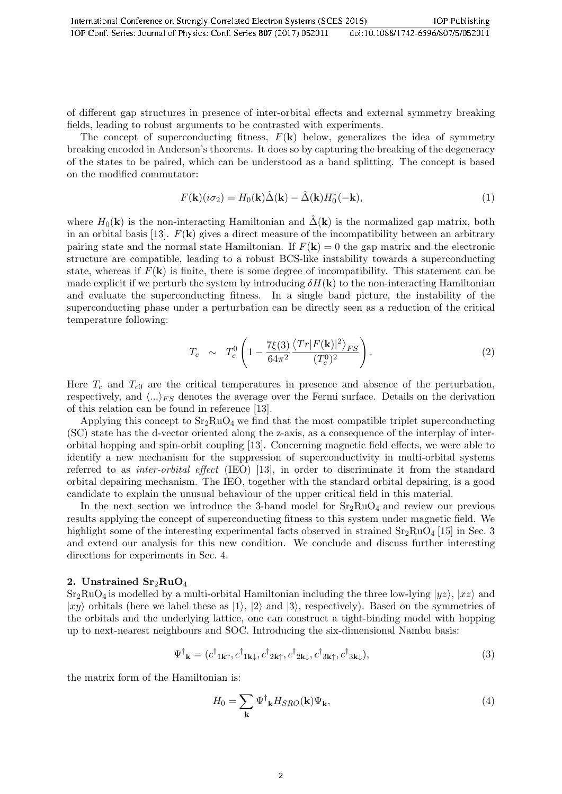of different gap structures in presence of inter-orbital effects and external symmetry breaking fields, leading to robust arguments to be contrasted with experiments.

The concept of superconducting fitness,  $F(\mathbf{k})$  below, generalizes the idea of symmetry breaking encoded in Anderson's theorems. It does so by capturing the breaking of the degeneracy of the states to be paired, which can be understood as a band splitting. The concept is based on the modified commutator:

$$
F(\mathbf{k})(i\sigma_2) = H_0(\mathbf{k})\hat{\Delta}(\mathbf{k}) - \hat{\Delta}(\mathbf{k})H_0^*(-\mathbf{k}),\tag{1}
$$

where  $H_0(\mathbf{k})$  is the non-interacting Hamiltonian and  $\hat{\Delta}(\mathbf{k})$  is the normalized gap matrix, both in an orbital basis [13].  $F(\mathbf{k})$  gives a direct measure of the incompatibility between an arbitrary pairing state and the normal state Hamiltonian. If  $F(\mathbf{k}) = 0$  the gap matrix and the electronic structure are compatible, leading to a robust BCS-like instability towards a superconducting state, whereas if  $F(\mathbf{k})$  is finite, there is some degree of incompatibility. This statement can be made explicit if we perturb the system by introducing  $\delta H(\mathbf{k})$  to the non-interacting Hamiltonian and evaluate the superconducting fitness. In a single band picture, the instability of the superconducting phase under a perturbation can be directly seen as a reduction of the critical temperature following:

$$
T_c \sim T_c^0 \left( 1 - \frac{7\xi(3)}{64\pi^2} \frac{\langle Tr|F(\mathbf{k})|^2 \rangle_{FS}}{(T_c^0)^2} \right). \tag{2}
$$

Here  $T_c$  and  $T_{c0}$  are the critical temperatures in presence and absence of the perturbation, respectively, and  $\langle ... \rangle_{FS}$  denotes the average over the Fermi surface. Details on the derivation of this relation can be found in reference [13].

Applying this concept to  $Sr_2RuO_4$  we find that the most compatible triplet superconducting (SC) state has the d-vector oriented along the z-axis, as a consequence of the interplay of interorbital hopping and spin-orbit coupling [13]. Concerning magnetic field effects, we were able to identify a new mechanism for the suppression of superconductivity in multi-orbital systems referred to as inter-orbital effect (IEO) [13], in order to discriminate it from the standard orbital depairing mechanism. The IEO, together with the standard orbital depairing, is a good candidate to explain the unusual behaviour of the upper critical field in this material.

In the next section we introduce the 3-band model for  $Sr<sub>2</sub>RuO<sub>4</sub>$  and review our previous results applying the concept of superconducting fitness to this system under magnetic field. We highlight some of the interesting experimental facts observed in strained  $Sr_2RuO<sub>4</sub>$  [15] in Sec. 3 and extend our analysis for this new condition. We conclude and discuss further interesting directions for experiments in Sec. 4.

#### 2. Unstrained  $\rm Sr_2RuO_4$

 $Sr<sub>2</sub>RuO<sub>4</sub>$  is modelled by a multi-orbital Hamiltonian including the three low-lying  $|yz\rangle$ ,  $|xz\rangle$  and  $|xy\rangle$  orbitals (here we label these as  $|1\rangle$ ,  $|2\rangle$  and  $|3\rangle$ , respectively). Based on the symmetries of the orbitals and the underlying lattice, one can construct a tight-binding model with hopping up to next-nearest neighbours and SOC. Introducing the six-dimensional Nambu basis:

$$
\Psi^{\dagger}_{\mathbf{k}} = (c^{\dagger}_{1\mathbf{k}\uparrow}, c^{\dagger}_{1\mathbf{k}\downarrow}, c^{\dagger}_{2\mathbf{k}\uparrow}, c^{\dagger}_{2\mathbf{k}\downarrow}, c^{\dagger}_{3\mathbf{k}\uparrow}, c^{\dagger}_{3\mathbf{k}\downarrow}),
$$
\n(3)

the matrix form of the Hamiltonian is:

$$
H_0 = \sum_{\mathbf{k}} \Psi^{\dagger}{}_{\mathbf{k}} H_{SRO}(\mathbf{k}) \Psi_{\mathbf{k}},\tag{4}
$$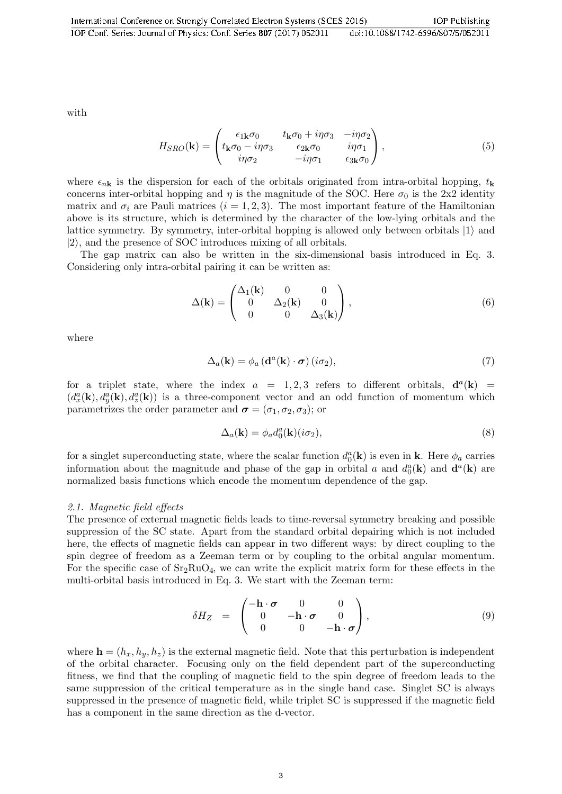with

$$
H_{SRO}(\mathbf{k}) = \begin{pmatrix} \epsilon_{1\mathbf{k}}\sigma_0 & t_{\mathbf{k}}\sigma_0 + i\eta\sigma_3 & -i\eta\sigma_2 \\ t_{\mathbf{k}}\sigma_0 - i\eta\sigma_3 & \epsilon_{2\mathbf{k}}\sigma_0 & i\eta\sigma_1 \\ i\eta\sigma_2 & -i\eta\sigma_1 & \epsilon_{3\mathbf{k}}\sigma_0 \end{pmatrix},
$$
(5)

where  $\epsilon_{n\mathbf{k}}$  is the dispersion for each of the orbitals originated from intra-orbital hopping,  $t_{\mathbf{k}}$ concerns inter-orbital hopping and  $\eta$  is the magnitude of the SOC. Here  $\sigma_0$  is the 2x2 identity matrix and  $\sigma_i$  are Pauli matrices  $(i = 1, 2, 3)$ . The most important feature of the Hamiltonian above is its structure, which is determined by the character of the low-lying orbitals and the lattice symmetry. By symmetry, inter-orbital hopping is allowed only between orbitals  $|1\rangle$  and  $|2\rangle$ , and the presence of SOC introduces mixing of all orbitals.

The gap matrix can also be written in the six-dimensional basis introduced in Eq. 3. Considering only intra-orbital pairing it can be written as:

$$
\Delta(\mathbf{k}) = \begin{pmatrix} \Delta_1(\mathbf{k}) & 0 & 0 \\ 0 & \Delta_2(\mathbf{k}) & 0 \\ 0 & 0 & \Delta_3(\mathbf{k}) \end{pmatrix},
$$
\n(6)

where

$$
\Delta_a(\mathbf{k}) = \phi_a \left( \mathbf{d}^a(\mathbf{k}) \cdot \boldsymbol{\sigma} \right) (i\sigma_2), \tag{7}
$$

for a triplet state, where the index  $a = 1, 2, 3$  refers to different orbitals,  $\mathbf{d}^{a}(\mathbf{k}) =$  $(d_x^a(\mathbf{k}), d_y^a(\mathbf{k}), d_z^a(\mathbf{k}))$  is a three-component vector and an odd function of momentum which parametrizes the order parameter and  $\sigma = (\sigma_1, \sigma_2, \sigma_3)$ ; or

$$
\Delta_a(\mathbf{k}) = \phi_a d_0^a(\mathbf{k}) (i\sigma_2),\tag{8}
$$

for a singlet superconducting state, where the scalar function  $d_0^a(\mathbf{k})$  is even in **k**. Here  $\phi_a$  carries information about the magnitude and phase of the gap in orbital a and  $d_0^a(\mathbf{k})$  and  $\mathbf{d}^a(\mathbf{k})$  are normalized basis functions which encode the momentum dependence of the gap.

#### 2.1. Magnetic field effects

The presence of external magnetic fields leads to time-reversal symmetry breaking and possible suppression of the SC state. Apart from the standard orbital depairing which is not included here, the effects of magnetic fields can appear in two different ways: by direct coupling to the spin degree of freedom as a Zeeman term or by coupling to the orbital angular momentum. For the specific case of  $Sr_2RuO_4$ , we can write the explicit matrix form for these effects in the multi-orbital basis introduced in Eq. 3. We start with the Zeeman term:

$$
\delta H_Z = \begin{pmatrix} -\mathbf{h} \cdot \boldsymbol{\sigma} & 0 & 0 \\ 0 & -\mathbf{h} \cdot \boldsymbol{\sigma} & 0 \\ 0 & 0 & -\mathbf{h} \cdot \boldsymbol{\sigma} \end{pmatrix}, \tag{9}
$$

where  $\mathbf{h} = (h_x, h_y, h_z)$  is the external magnetic field. Note that this perturbation is independent of the orbital character. Focusing only on the field dependent part of the superconducting fitness, we find that the coupling of magnetic field to the spin degree of freedom leads to the same suppression of the critical temperature as in the single band case. Singlet SC is always suppressed in the presence of magnetic field, while triplet SC is suppressed if the magnetic field has a component in the same direction as the d-vector.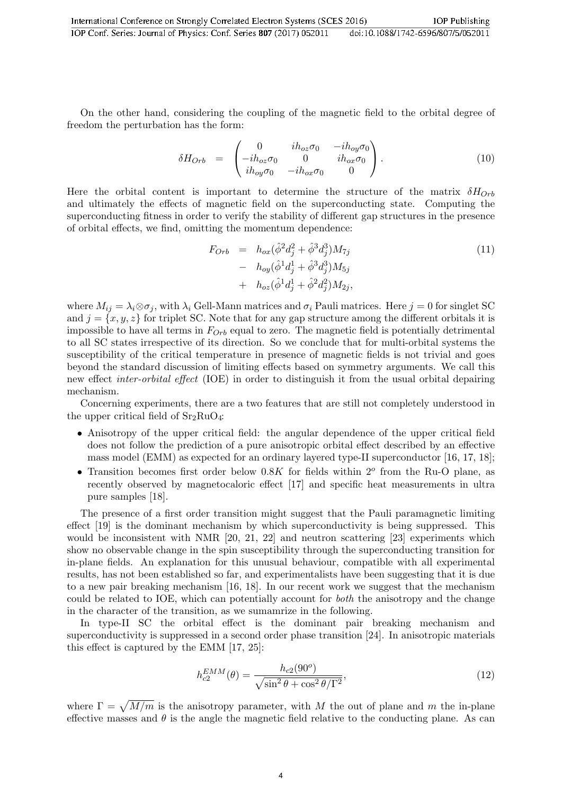On the other hand, considering the coupling of the magnetic field to the orbital degree of freedom the perturbation has the form:

$$
\delta H_{Orb} = \begin{pmatrix} 0 & i h_{oz} \sigma_0 & -i h_{oy} \sigma_0 \\ -i h_{oz} \sigma_0 & 0 & i h_{ox} \sigma_0 \\ i h_{oy} \sigma_0 & -i h_{ox} \sigma_0 & 0 \end{pmatrix} . \tag{10}
$$

Here the orbital content is important to determine the structure of the matrix  $\delta H_{Orb}$ and ultimately the effects of magnetic field on the superconducting state. Computing the superconducting fitness in order to verify the stability of different gap structures in the presence of orbital effects, we find, omitting the momentum dependence:

$$
F_{Orb} = h_{ox}(\hat{\phi}^2 d_j^2 + \hat{\phi}^3 d_j^3) M_{7j}
$$
  
-  $h_{oy}(\hat{\phi}^1 d_j^1 + \hat{\phi}^3 d_j^3) M_{5j}$   
+  $h_{oz}(\hat{\phi}^1 d_j^1 + \hat{\phi}^2 d_j^2) M_{2j}$ , (11)

where  $M_{ij} = \lambda_i \otimes \sigma_j$ , with  $\lambda_i$  Gell-Mann matrices and  $\sigma_i$  Pauli matrices. Here  $j = 0$  for singlet SC and  $j = \{x, y, z\}$  for triplet SC. Note that for any gap structure among the different orbitals it is impossible to have all terms in  $F_{Orb}$  equal to zero. The magnetic field is potentially detrimental to all SC states irrespective of its direction. So we conclude that for multi-orbital systems the susceptibility of the critical temperature in presence of magnetic fields is not trivial and goes beyond the standard discussion of limiting effects based on symmetry arguments. We call this new effect inter-orbital effect (IOE) in order to distinguish it from the usual orbital depairing mechanism.

Concerning experiments, there are a two features that are still not completely understood in the upper critical field of  $Sr<sub>2</sub>RuO<sub>4</sub>$ :

- Anisotropy of the upper critical field: the angular dependence of the upper critical field does not follow the prediction of a pure anisotropic orbital effect described by an effective mass model (EMM) as expected for an ordinary layered type-II superconductor [16, 17, 18];
- Transition becomes first order below  $0.8K$  for fields within  $2^o$  from the Ru-O plane, as recently observed by magnetocaloric effect [17] and specific heat measurements in ultra pure samples [18].

The presence of a first order transition might suggest that the Pauli paramagnetic limiting effect [19] is the dominant mechanism by which superconductivity is being suppressed. This would be inconsistent with NMR [20, 21, 22] and neutron scattering [23] experiments which show no observable change in the spin susceptibility through the superconducting transition for in-plane fields. An explanation for this unusual behaviour, compatible with all experimental results, has not been established so far, and experimentalists have been suggesting that it is due to a new pair breaking mechanism [16, 18]. In our recent work we suggest that the mechanism could be related to IOE, which can potentially account for both the anisotropy and the change in the character of the transition, as we sumamrize in the following.

In type-II SC the orbital effect is the dominant pair breaking mechanism and superconductivity is suppressed in a second order phase transition [24]. In anisotropic materials this effect is captured by the EMM [17, 25]:

$$
h_{c2}^{EMM}(\theta) = \frac{h_{c2}(90^o)}{\sqrt{\sin^2 \theta + \cos^2 \theta / \Gamma^2}},\tag{12}
$$

where  $\Gamma = \sqrt{M/m}$  is the anisotropy parameter, with M the out of plane and m the in-plane effective masses and  $\theta$  is the angle the magnetic field relative to the conducting plane. As can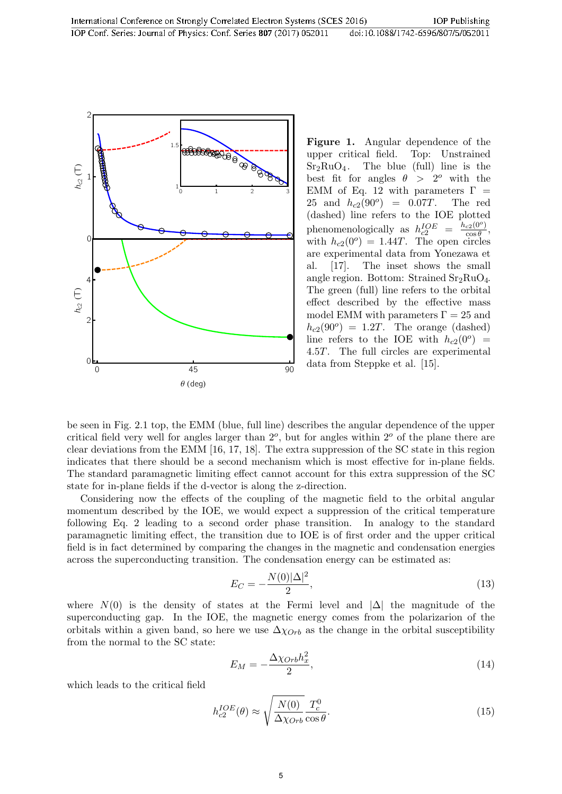

Figure 1. Angular dependence of the upper critical field. Top: Unstrained  $Sr<sub>2</sub>RuO<sub>4</sub>$ . The blue (full) line is the best fit for angles  $\theta > 2^{\circ}$  with the EMM of Eq. 12 with parameters  $\Gamma =$ 25 and  $h_{c2}(90^{\circ}) = 0.07T$ . The red (dashed) line refers to the IOE plotted phenomenologically as  $h_{c2}^{IOE}$  =  $\frac{h_{c2}(0^o)}{\cos \theta}$  $\overline{\cos \theta}$ with  $h_{c2}(0^{\degree}) = 1.44T$ . The open circles are experimental data from Yonezawa et al. [17]. The inset shows the small angle region. Bottom: Strained  $Sr<sub>2</sub>RuO<sub>4</sub>$ . The green (full) line refers to the orbital effect described by the effective mass model EMM with parameters  $\Gamma = 25$  and  $h_{c2}(90^o) = 1.2T$ . The orange (dashed) line refers to the IOE with  $h_{c2}(0^o)$  = 4.5T. The full circles are experimental data from Steppke et al. [15].

be seen in Fig. 2.1 top, the EMM (blue, full line) describes the angular dependence of the upper critical field very well for angles larger than  $2^o$ , but for angles within  $2^o$  of the plane there are clear deviations from the EMM [16, 17, 18]. The extra suppression of the SC state in this region indicates that there should be a second mechanism which is most effective for in-plane fields. The standard paramagnetic limiting effect cannot account for this extra suppression of the SC state for in-plane fields if the d-vector is along the z-direction.

Considering now the effects of the coupling of the magnetic field to the orbital angular momentum described by the IOE, we would expect a suppression of the critical temperature following Eq. 2 leading to a second order phase transition. In analogy to the standard paramagnetic limiting effect, the transition due to IOE is of first order and the upper critical field is in fact determined by comparing the changes in the magnetic and condensation energies across the superconducting transition. The condensation energy can be estimated as:

$$
E_C = -\frac{N(0)|\Delta|^2}{2},\tag{13}
$$

where  $N(0)$  is the density of states at the Fermi level and  $|\Delta|$  the magnitude of the superconducting gap. In the IOE, the magnetic energy comes from the polarizarion of the orbitals within a given band, so here we use  $\Delta \chi_{Orb}$  as the change in the orbital susceptibility from the normal to the SC state:

$$
E_M = -\frac{\Delta \chi_{Orb} h_x^2}{2},\tag{14}
$$

which leads to the critical field

$$
h_{c2}^{IOE}(\theta) \approx \sqrt{\frac{N(0)}{\Delta \chi_{Orb}}} \frac{T_c^0}{\cos \theta}.
$$
\n(15)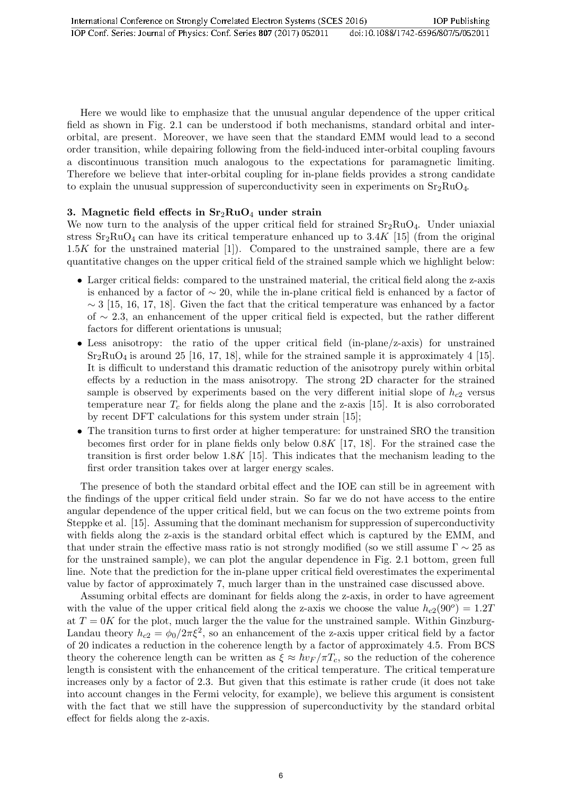Here we would like to emphasize that the unusual angular dependence of the upper critical field as shown in Fig. 2.1 can be understood if both mechanisms, standard orbital and interorbital, are present. Moreover, we have seen that the standard EMM would lead to a second order transition, while depairing following from the field-induced inter-orbital coupling favours a discontinuous transition much analogous to the expectations for paramagnetic limiting. Therefore we believe that inter-orbital coupling for in-plane fields provides a strong candidate to explain the unusual suppression of superconductivity seen in experiments on  $Sr_2RuO_4$ .

#### 3. Magnetic field effects in  $Sr<sub>2</sub>RuO<sub>4</sub>$  under strain

We now turn to the analysis of the upper critical field for strained  $Sr<sub>2</sub>RuO<sub>4</sub>$ . Under uniaxial stress  $Sr_2RuO_4$  can have its critical temperature enhanced up to 3.4K [15] (from the original  $1.5K$  for the unstrained material [1]). Compared to the unstrained sample, there are a few quantitative changes on the upper critical field of the strained sample which we highlight below:

- Larger critical fields: compared to the unstrained material, the critical field along the z-axis is enhanced by a factor of  $\sim 20$ , while the in-plane critical field is enhanced by a factor of  $\sim$  3 [15, 16, 17, 18]. Given the fact that the critical temperature was enhanced by a factor of ∼ 2.3, an enhancement of the upper critical field is expected, but the rather different factors for different orientations is unusual;
- Less anisotropy: the ratio of the upper critical field (in-plane/z-axis) for unstrained  $Sr<sub>2</sub>RuO<sub>4</sub>$  is around 25 [16, 17, 18], while for the strained sample it is approximately 4 [15]. It is difficult to understand this dramatic reduction of the anisotropy purely within orbital effects by a reduction in the mass anisotropy. The strong 2D character for the strained sample is observed by experiments based on the very different initial slope of  $h_{c2}$  versus temperature near  $T_c$  for fields along the plane and the z-axis [15]. It is also corroborated by recent DFT calculations for this system under strain [15];
- The transition turns to first order at higher temperature: for unstrained SRO the transition becomes first order for in plane fields only below  $0.8K$  [17, 18]. For the strained case the transition is first order below 1.8K [15]. This indicates that the mechanism leading to the first order transition takes over at larger energy scales.

The presence of both the standard orbital effect and the IOE can still be in agreement with the findings of the upper critical field under strain. So far we do not have access to the entire angular dependence of the upper critical field, but we can focus on the two extreme points from Steppke et al. [15]. Assuming that the dominant mechanism for suppression of superconductivity with fields along the z-axis is the standard orbital effect which is captured by the EMM, and that under strain the effective mass ratio is not strongly modified (so we still assume  $\Gamma \sim 25$  as for the unstrained sample), we can plot the angular dependence in Fig. 2.1 bottom, green full line. Note that the prediction for the in-plane upper critical field overestimates the experimental value by factor of approximately 7, much larger than in the unstrained case discussed above.

Assuming orbital effects are dominant for fields along the z-axis, in order to have agreement with the value of the upper critical field along the z-axis we choose the value  $h_{c2}(90^{\circ}) = 1.2T$ at  $T = 0$ K for the plot, much larger the the value for the unstrained sample. Within Ginzburg-Landau theory  $h_{c2} = \phi_0/2\pi\xi^2$ , so an enhancement of the z-axis upper critical field by a factor of 20 indicates a reduction in the coherence length by a factor of approximately 4.5. From BCS theory the coherence length can be written as  $\xi \approx \hbar v_F / \pi T_c$ , so the reduction of the coherence length is consistent with the enhancement of the critical temperature. The critical temperature increases only by a factor of 2.3. But given that this estimate is rather crude (it does not take into account changes in the Fermi velocity, for example), we believe this argument is consistent with the fact that we still have the suppression of superconductivity by the standard orbital effect for fields along the z-axis.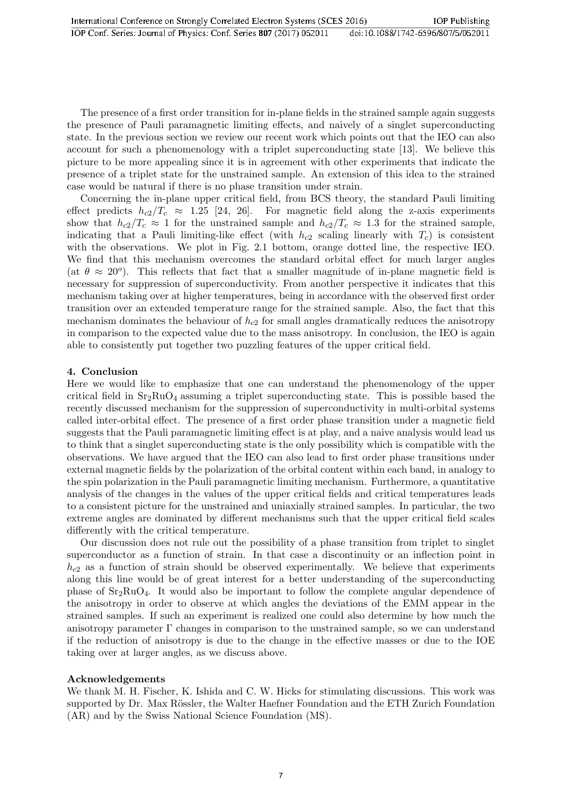The presence of a first order transition for in-plane fields in the strained sample again suggests the presence of Pauli paramagnetic limiting effects, and naively of a singlet superconducting state. In the previous section we review our recent work which points out that the IEO can also account for such a phenomenology with a triplet superconducting state [13]. We believe this picture to be more appealing since it is in agreement with other experiments that indicate the presence of a triplet state for the unstrained sample. An extension of this idea to the strained case would be natural if there is no phase transition under strain.

Concerning the in-plane upper critical field, from BCS theory, the standard Pauli limiting effect predicts  $h_{c2}/T_c \approx 1.25$  [24, 26]. For magnetic field along the z-axis experiments show that  $h_{c2}/T_c \approx 1$  for the unstrained sample and  $h_{c2}/T_c \approx 1.3$  for the strained sample, indicating that a Pauli limiting-like effect (with  $h_{c2}$  scaling linearly with  $T_c$ ) is consistent with the observations. We plot in Fig. 2.1 bottom, orange dotted line, the respective IEO. We find that this mechanism overcomes the standard orbital effect for much larger angles (at  $\theta \approx 20^{\circ}$ ). This reflects that fact that a smaller magnitude of in-plane magnetic field is necessary for suppression of superconductivity. From another perspective it indicates that this mechanism taking over at higher temperatures, being in accordance with the observed first order transition over an extended temperature range for the strained sample. Also, the fact that this mechanism dominates the behaviour of  $h_{c2}$  for small angles dramatically reduces the anisotropy in comparison to the expected value due to the mass anisotropy. In conclusion, the IEO is again able to consistently put together two puzzling features of the upper critical field.

#### 4. Conclusion

Here we would like to emphasize that one can understand the phenomenology of the upper critical field in  $Sr_2RuO_4$  assuming a triplet superconducting state. This is possible based the recently discussed mechanism for the suppression of superconductivity in multi-orbital systems called inter-orbital effect. The presence of a first order phase transition under a magnetic field suggests that the Pauli paramagnetic limiting effect is at play, and a naive analysis would lead us to think that a singlet superconducting state is the only possibility which is compatible with the observations. We have argued that the IEO can also lead to first order phase transitions under external magnetic fields by the polarization of the orbital content within each band, in analogy to the spin polarization in the Pauli paramagnetic limiting mechanism. Furthermore, a quantitative analysis of the changes in the values of the upper critical fields and critical temperatures leads to a consistent picture for the unstrained and uniaxially strained samples. In particular, the two extreme angles are dominated by different mechanisms such that the upper critical field scales differently with the critical temperature.

Our discussion does not rule out the possibility of a phase transition from triplet to singlet superconductor as a function of strain. In that case a discontinuity or an inflection point in  $h_{c2}$  as a function of strain should be observed experimentally. We believe that experiments along this line would be of great interest for a better understanding of the superconducting phase of  $Sr<sub>2</sub>RuO<sub>4</sub>$ . It would also be important to follow the complete angular dependence of the anisotropy in order to observe at which angles the deviations of the EMM appear in the strained samples. If such an experiment is realized one could also determine by how much the anisotropy parameter  $\Gamma$  changes in comparison to the unstrained sample, so we can understand if the reduction of anisotropy is due to the change in the effective masses or due to the IOE taking over at larger angles, as we discuss above.

#### Acknowledgements

We thank M. H. Fischer, K. Ishida and C. W. Hicks for stimulating discussions. This work was supported by Dr. Max Rössler, the Walter Haefner Foundation and the ETH Zurich Foundation (AR) and by the Swiss National Science Foundation (MS).